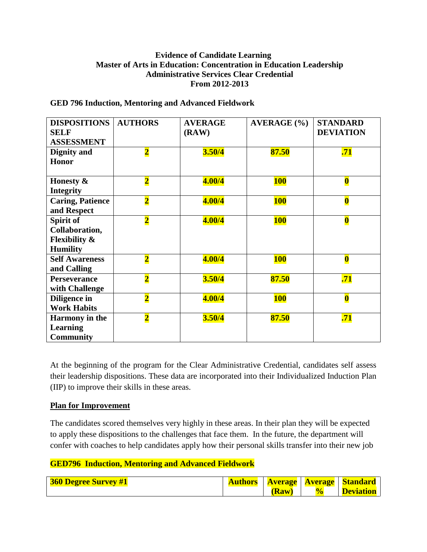# **Evidence of Candidate Learning Master of Arts in Education: Concentration in Education Leadership Administrative Services Clear Credential From 2012-2013**

| <b>DISPOSITIONS</b><br><b>SELF</b><br><b>ASSESSMENT</b>                    | <b>AUTHORS</b>          | <b>AVERAGE</b><br>(RAW) | <b>AVERAGE</b> (%) | <b>STANDARD</b><br><b>DEVIATION</b> |
|----------------------------------------------------------------------------|-------------------------|-------------------------|--------------------|-------------------------------------|
| Dignity and<br><b>Honor</b>                                                | $\overline{\mathbf{2}}$ | 3.50/4                  | 87.50              | .71                                 |
| Honesty &<br><b>Integrity</b>                                              | $\overline{\mathbf{2}}$ | 4.00/4                  | <b>100</b>         | $\bf{0}$                            |
| <b>Caring, Patience</b><br>and Respect                                     | $\overline{\mathbf{2}}$ | 4.00/4                  | <b>100</b>         | $\bf{0}$                            |
| Spirit of<br>Collaboration,<br><b>Flexibility &amp;</b><br><b>Humility</b> | $\overline{\mathbf{2}}$ | 4.00/4                  | <b>100</b>         | $\bf{0}$                            |
| <b>Self Awareness</b><br>and Calling                                       | $\overline{\mathbf{2}}$ | 4.00/4                  | <b>100</b>         | $\bf{0}$                            |
| <b>Perseverance</b><br>with Challenge                                      | $\overline{\mathbf{2}}$ | 3.50/4                  | 87.50              | .71                                 |
| Diligence in<br><b>Work Habits</b>                                         | $\overline{\mathbf{2}}$ | 4.00/4                  | <b>100</b>         | $\bf{0}$                            |
| <b>Harmony</b> in the<br><b>Learning</b><br><b>Community</b>               | $\overline{\mathbf{2}}$ | 3.50/4                  | 87.50              | .71                                 |

#### **GED 796 Induction, Mentoring and Advanced Fieldwork**

At the beginning of the program for the Clear Administrative Credential, candidates self assess their leadership dispositions. These data are incorporated into their Individualized Induction Plan (IIP) to improve their skills in these areas.

# **Plan for Improvement**

The candidates scored themselves very highly in these areas. In their plan they will be expected to apply these dispositions to the challenges that face them. In the future, the department will confer with coaches to help candidates apply how their personal skills transfer into their new job

# **GED796 Induction, Mentoring and Advanced Fieldwork**

| <b>360 Degree Survey #1</b> |       | <b>Authors</b>   Average   Average   Standard |
|-----------------------------|-------|-----------------------------------------------|
|                             | (Raw) | <b>Deviation</b>                              |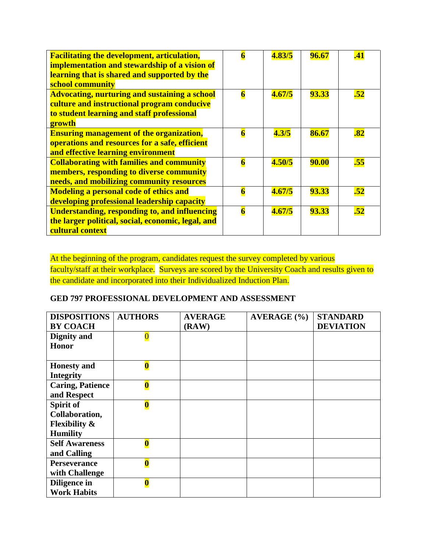| <b>Facilitating the development, articulation,</b><br>implementation and stewardship of a vision of<br>learning that is shared and supported by the<br>school community | $\overline{\mathbf{6}}$ | 4.83/5 | 96.67        | .41              |
|-------------------------------------------------------------------------------------------------------------------------------------------------------------------------|-------------------------|--------|--------------|------------------|
| <b>Advocating, nurturing and sustaining a school</b><br>culture and instructional program conducive<br>to student learning and staff professional<br>growth             | $\overline{\mathbf{6}}$ | 4.67/5 | 93.33        | .52              |
| <b>Ensuring management of the organization,</b><br>operations and resources for a safe, efficient<br>and effective learning environment                                 | $\overline{\mathbf{6}}$ | 4.3/5  | 86.67        | $\overline{.82}$ |
| <b>Collaborating with families and community</b><br>members, responding to diverse community<br>needs, and mobilizing community resources                               | $\overline{\mathbf{6}}$ | 4.50/5 | <b>90.00</b> | .55              |
| <b>Modeling a personal code of ethics and</b><br>developing professional leadership capacity                                                                            | $\overline{\mathbf{6}}$ | 4.67/5 | 93.33        | $\overline{.52}$ |
| <b>Understanding, responding to, and influencing</b><br>the larger political, social, economic, legal, and<br>cultural context                                          | $\overline{\mathbf{6}}$ | 4.67/5 | <b>93.33</b> | .52              |

At the beginning of the program, candidates request the survey completed by various faculty/staff at their workplace. Surveys are scored by the University Coach and results given to the candidate and incorporated into their Individualized Induction Plan.

# **GED 797 PROFESSIONAL DEVELOPMENT AND ASSESSMENT**

| <b>DISPOSITIONS</b>      | <b>AUTHORS</b>          | <b>AVERAGE</b> | AVERAGE (%) | <b>STANDARD</b>  |
|--------------------------|-------------------------|----------------|-------------|------------------|
| <b>BY COACH</b>          |                         | (RAW)          |             | <b>DEVIATION</b> |
| Dignity and              | $\overline{\mathbf{0}}$ |                |             |                  |
| <b>Honor</b>             |                         |                |             |                  |
|                          |                         |                |             |                  |
| <b>Honesty</b> and       | $\bf{0}$                |                |             |                  |
| <b>Integrity</b>         |                         |                |             |                  |
| <b>Caring, Patience</b>  | $\bf{0}$                |                |             |                  |
| and Respect              |                         |                |             |                  |
| Spirit of                | $\overline{\mathbf{0}}$ |                |             |                  |
| Collaboration,           |                         |                |             |                  |
| <b>Flexibility &amp;</b> |                         |                |             |                  |
| <b>Humility</b>          |                         |                |             |                  |
| <b>Self Awareness</b>    | $\overline{\textbf{0}}$ |                |             |                  |
| and Calling              |                         |                |             |                  |
| <b>Perseverance</b>      | $\overline{\mathbf{0}}$ |                |             |                  |
| with Challenge           |                         |                |             |                  |
| Diligence in             | $\overline{\mathbf{0}}$ |                |             |                  |
| <b>Work Habits</b>       |                         |                |             |                  |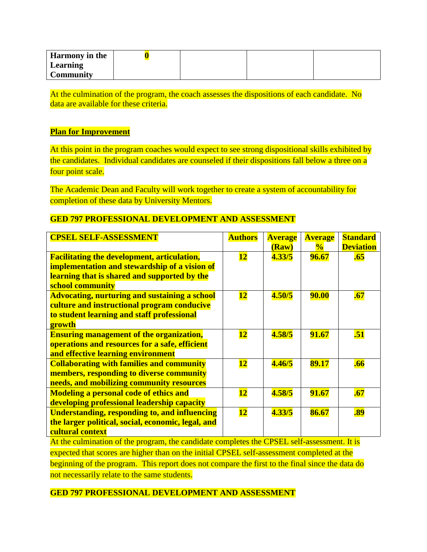| <b>Harmony</b> in the |  |  |
|-----------------------|--|--|
| Learning              |  |  |
| <b>Community</b>      |  |  |

At the culmination of the program, the coach assesses the dispositions of each candidate. No data are available for these criteria.

#### **Plan for Improvement**

At this point in the program coaches would expect to see strong dispositional skills exhibited by the candidates. Individual candidates are counseled if their dispositions fall below a three on a four point scale.

The Academic Dean and Faculty will work together to create a system of accountability for completion of these data by University Mentors.

# **GED 797 PROFESSIONAL DEVELOPMENT AND ASSESSMENT**

| <b>CPSEL SELF-ASSESSMENT</b>                                                                                                                                                                                                  | <b>Authors</b>           | <b>Average</b><br>(Raw) | <b>Average</b><br>$\frac{1}{2}$ | <b>Standard</b><br><b>Deviation</b> |
|-------------------------------------------------------------------------------------------------------------------------------------------------------------------------------------------------------------------------------|--------------------------|-------------------------|---------------------------------|-------------------------------------|
| <b>Facilitating the development, articulation,</b><br>implementation and stewardship of a vision of<br>learning that is shared and supported by the<br>school community                                                       | $\overline{\mathbf{12}}$ | 4.33/5                  | 96.67                           | .65                                 |
| <b>Advocating, nurturing and sustaining a school</b><br>culture and instructional program conducive<br>to student learning and staff professional<br>growth                                                                   | <b>12</b>                | 4.50/5                  | <b>90.00</b>                    | .67                                 |
| <b>Ensuring management of the organization,</b><br>operations and resources for a safe, efficient<br>and effective learning environment                                                                                       | <u>12</u>                | 4.58/5                  | 91.67                           | .51                                 |
| <b>Collaborating with families and community</b><br>members, responding to diverse community<br>needs, and mobilizing community resources                                                                                     | <b>12</b>                | 4.46/5                  | 89.17                           | .66                                 |
| <b>Modeling a personal code of ethics and</b><br>developing professional leadership capacity                                                                                                                                  | <u>12</u>                | 4.58/5                  | 91.67                           | .67                                 |
| <b>Understanding, responding to, and influencing</b><br>the larger political, social, economic, legal, and<br>cultural context<br>At the culmination of the program, the candidate completes the CPSEL self-assessment. It is | <b>12</b>                | 4.33/5                  | 86.67                           | .89                                 |

At the culmination of the program, the candidate completes the CPSEL self-assessment. It is expected that scores are higher than on the initial CPSEL self-assessment completed at the beginning of the program. This report does not compare the first to the final since the data do not necessarily relate to the same students.

# **GED 797 PROFESSIONAL DEVELOPMENT AND ASSESSMENT**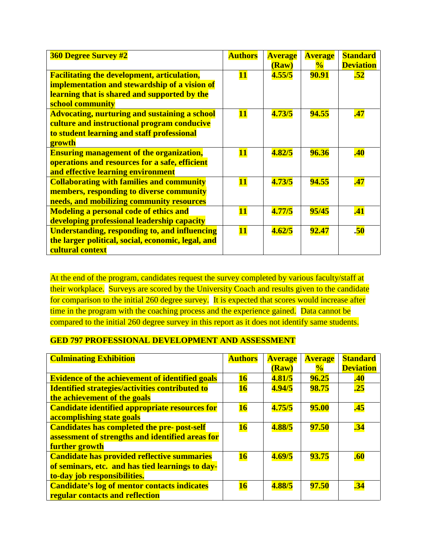| <b>360 Degree Survey #2</b>                                                                                                                                             | <b>Authors</b> | <b>Average</b><br>(Raw) | <b>Average</b><br>$\frac{1}{2}$ | <b>Standard</b><br><b>Deviation</b> |
|-------------------------------------------------------------------------------------------------------------------------------------------------------------------------|----------------|-------------------------|---------------------------------|-------------------------------------|
| <b>Facilitating the development, articulation,</b><br>implementation and stewardship of a vision of<br>learning that is shared and supported by the<br>school community | <b>11</b>      | 4.55/5                  | <b>90.91</b>                    | .52                                 |
| <b>Advocating, nurturing and sustaining a school</b><br>culture and instructional program conducive<br>to student learning and staff professional<br>growth             | <b>11</b>      | 4.73/5                  | 94.55                           | .47                                 |
| <b>Ensuring management of the organization,</b><br>operations and resources for a safe, efficient<br>and effective learning environment                                 | <b>11</b>      | 4.82/5                  | 96.36                           | .40                                 |
| <b>Collaborating with families and community</b><br>members, responding to diverse community<br>needs, and mobilizing community resources                               | $\bf{11}$      | 4.73/5                  | 94.55                           | .47                                 |
| <b>Modeling a personal code of ethics and</b><br>developing professional leadership capacity                                                                            | <b>11</b>      | 4.77/5                  | 95/45                           | .41                                 |
| <b>Understanding, responding to, and influencing</b><br>the larger political, social, economic, legal, and<br>cultural context                                          | <b>11</b>      | 4.62/5                  | 92.47                           | .50                                 |

At the end of the program, candidates request the survey completed by various faculty/staff at their workplace. Surveys are scored by the University Coach and results given to the candidate for comparison to the initial 260 degree survey. It is expected that scores would increase after time in the program with the coaching process and the experience gained. Data cannot be compared to the initial 260 degree survey in this report as it does not identify same students.

# **GED 797 PROFESSIONAL DEVELOPMENT AND ASSESSMENT**

| <b>Culminating Exhibition</b>                          | <b>Authors</b> | <b>Average</b> | <b>Average</b> | <b>Standard</b>  |
|--------------------------------------------------------|----------------|----------------|----------------|------------------|
|                                                        |                | (Raw)          | $\frac{0}{0}$  | <b>Deviation</b> |
| <b>Evidence of the achievement of identified goals</b> | 16             | 4.81/5         | 96.25          | .40              |
| <b>Identified strategies/activities contributed to</b> | <b>16</b>      | 4.94/5         | 98.75          | .25              |
| the achievement of the goals                           |                |                |                |                  |
| <b>Candidate identified appropriate resources for</b>  | <b>16</b>      | 4.75/5         | <b>95.00</b>   | .45              |
| accomplishing state goals                              |                |                |                |                  |
| <b>Candidates has completed the pre- post-self</b>     | <b>16</b>      | 4.88/5         | <b>97.50</b>   | .34              |
| assessment of strengths and identified areas for       |                |                |                |                  |
| further growth                                         |                |                |                |                  |
| <b>Candidate has provided reflective summaries</b>     | <b>16</b>      | 4.69/5         | 93.75          | .60              |
| of seminars, etc. and has tied learnings to day-       |                |                |                |                  |
| to-day job responsibilities.                           |                |                |                |                  |
| <b>Candidate's log of mentor contacts indicates</b>    | <b>16</b>      | 4.88/5         | <b>97.50</b>   | .34              |
| regular contacts and reflection                        |                |                |                |                  |